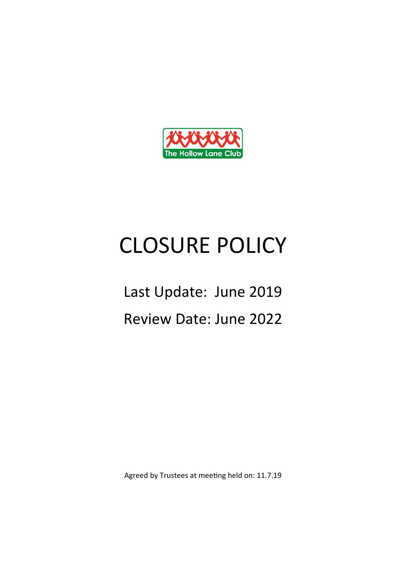

## CLOSURE POLICY

## Last Update: June 2019 Review Date: June 2022

Agreed by Trustees at meeting held on: 11.7.19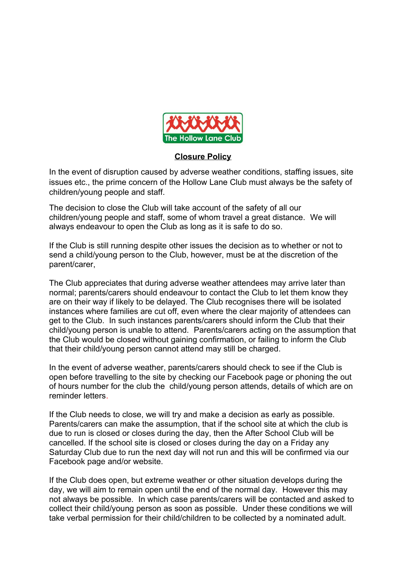

## **Closure Policy**

In the event of disruption caused by adverse weather conditions, staffing issues, site issues etc., the prime concern of the Hollow Lane Club must always be the safety of children/young people and staff.

The decision to close the Club will take account of the safety of all our children/young people and staff, some of whom travel a great distance. We will always endeavour to open the Club as long as it is safe to do so.

If the Club is still running despite other issues the decision as to whether or not to send a child/young person to the Club, however, must be at the discretion of the parent/carer,

The Club appreciates that during adverse weather attendees may arrive later than normal; parents/carers should endeavour to contact the Club to let them know they are on their way if likely to be delayed. The Club recognises there will be isolated instances where families are cut off, even where the clear majority of attendees can get to the Club. In such instances parents/carers should inform the Club that their child/young person is unable to attend. Parents/carers acting on the assumption that the Club would be closed without gaining confirmation, or failing to inform the Club that their child/young person cannot attend may still be charged.

In the event of adverse weather, parents/carers should check to see if the Club is open before travelling to the site by checking our Facebook page or phoning the out of hours number for the club the child/young person attends, details of which are on reminder letters.

If the Club needs to close, we will try and make a decision as early as possible. Parents/carers can make the assumption, that if the school site at which the club is due to run is closed or closes during the day, then the After School Club will be cancelled. If the school site is closed or closes during the day on a Friday any Saturday Club due to run the next day will not run and this will be confirmed via our Facebook page and/or website.

If the Club does open, but extreme weather or other situation develops during the day, we will aim to remain open until the end of the normal day. However this may not always be possible. In which case parents/carers will be contacted and asked to collect their child/young person as soon as possible. Under these conditions we will take verbal permission for their child/children to be collected by a nominated adult.